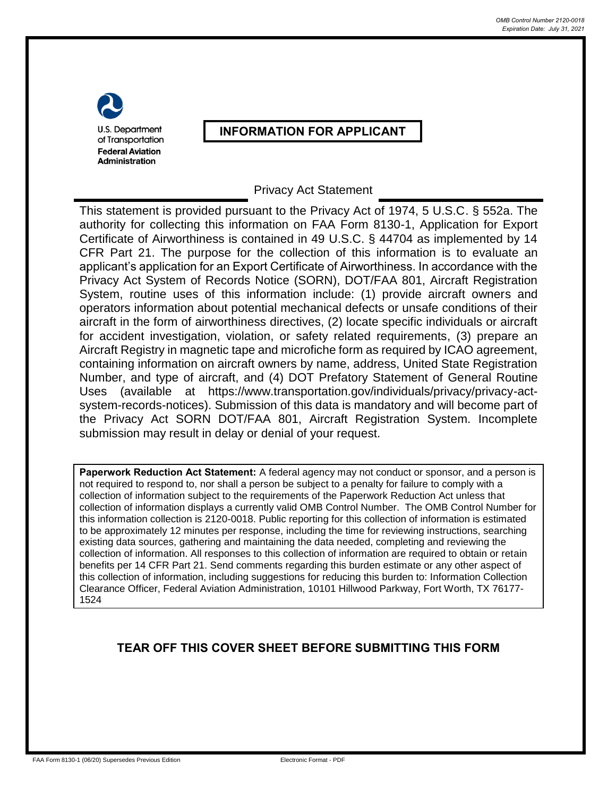U.S. Department of Transportation **Federal Aviation** Administration

## **INFORMATION FOR APPLICANT**

## Privacy Act Statement

This statement is provided pursuant to the Privacy Act of 1974, 5 U.S.C. § 552a. The authority for collecting this information on FAA Form 8130-1, Application for Export Certificate of Airworthiness is contained in 49 U.S.C. § 44704 as implemented by 14 CFR Part 21. The purpose for the collection of this information is to evaluate an applicant's application for an Export Certificate of Airworthiness. In accordance with the Privacy Act System of Records Notice (SORN), DOT/FAA 801, Aircraft Registration System, routine uses of this information include: (1) provide aircraft owners and operators information about potential mechanical defects or unsafe conditions of their aircraft in the form of airworthiness directives, (2) locate specific individuals or aircraft for accident investigation, violation, or safety related requirements, (3) prepare an Aircraft Registry in magnetic tape and microfiche form as required by ICAO agreement, containing information on aircraft owners by name, address, United State Registration Number, and type of aircraft, and (4) DOT Prefatory Statement of General Routine Uses (available at https://www.transportation.gov/individuals/privacy/privacy-actsystem-records-notices). Submission of this data is mandatory and will become part of the Privacy Act SORN DOT/FAA 801, Aircraft Registration System. Incomplete submission may result in delay or denial of your request.

**Paperwork Reduction Act Statement:** A federal agency may not conduct or sponsor, and a person is not required to respond to, nor shall a person be subject to a penalty for failure to comply with a collection of information subject to the requirements of the Paperwork Reduction Act unless that collection of information displays a currently valid OMB Control Number. The OMB Control Number for this information collection is 2120-0018. Public reporting for this collection of information is estimated to be approximately 12 minutes per response, including the time for reviewing instructions, searching existing data sources, gathering and maintaining the data needed, completing and reviewing the collection of information. All responses to this collection of information are required to obtain or retain benefits per 14 CFR Part 21. Send comments regarding this burden estimate or any other aspect of this collection of information, including suggestions for reducing this burden to: Information Collection Clearance Officer, Federal Aviation Administration, 10101 Hillwood Parkway, Fort Worth, TX 76177- 1524

## **TEAR OFF THIS COVER SHEET BEFORE SUBMITTING THIS FORM**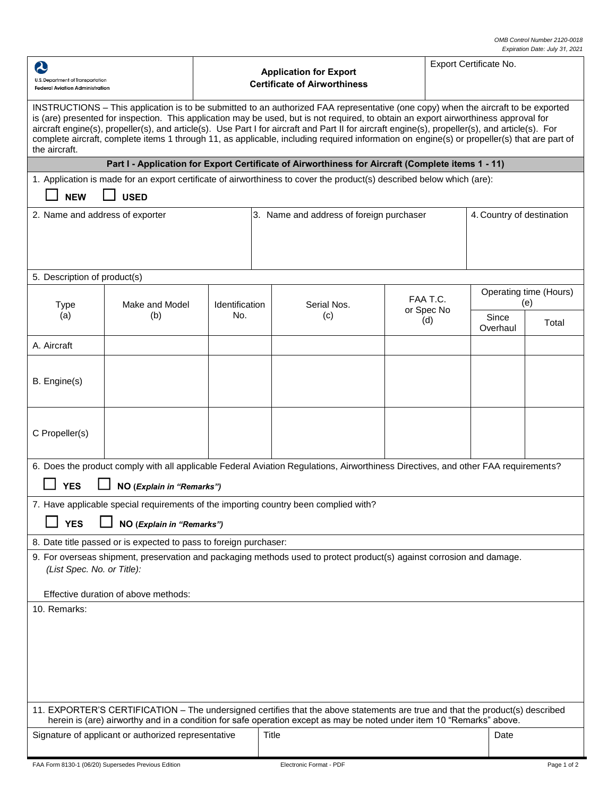| 2<br>U.S. Department of Transportation                                                                                                                                                                                                                                                                                                                                                                                                                                                                                                                                                        |                                                                               | <b>Application for Export</b> | Export Certificate No.                                                                                                             |            |          |                               |             |  |  |  |  |
|-----------------------------------------------------------------------------------------------------------------------------------------------------------------------------------------------------------------------------------------------------------------------------------------------------------------------------------------------------------------------------------------------------------------------------------------------------------------------------------------------------------------------------------------------------------------------------------------------|-------------------------------------------------------------------------------|-------------------------------|------------------------------------------------------------------------------------------------------------------------------------|------------|----------|-------------------------------|-------------|--|--|--|--|
|                                                                                                                                                                                                                                                                                                                                                                                                                                                                                                                                                                                               | <b>Certificate of Airworthiness</b><br><b>Federal Aviation Administration</b> |                               |                                                                                                                                    |            |          |                               |             |  |  |  |  |
| INSTRUCTIONS – This application is to be submitted to an authorized FAA representative (one copy) when the aircraft to be exported<br>is (are) presented for inspection. This application may be used, but is not required, to obtain an export airworthiness approval for<br>aircraft engine(s), propeller(s), and article(s). Use Part I for aircraft and Part II for aircraft engine(s), propeller(s), and article(s). For<br>complete aircraft, complete items 1 through 11, as applicable, including required information on engine(s) or propeller(s) that are part of<br>the aircraft. |                                                                               |                               |                                                                                                                                    |            |          |                               |             |  |  |  |  |
| Part I - Application for Export Certificate of Airworthiness for Aircraft (Complete items 1 - 11)                                                                                                                                                                                                                                                                                                                                                                                                                                                                                             |                                                                               |                               |                                                                                                                                    |            |          |                               |             |  |  |  |  |
| 1. Application is made for an export certificate of airworthiness to cover the product(s) described below which (are):                                                                                                                                                                                                                                                                                                                                                                                                                                                                        |                                                                               |                               |                                                                                                                                    |            |          |                               |             |  |  |  |  |
| <b>NEW</b><br><b>USED</b>                                                                                                                                                                                                                                                                                                                                                                                                                                                                                                                                                                     |                                                                               |                               |                                                                                                                                    |            |          |                               |             |  |  |  |  |
| 2. Name and address of exporter                                                                                                                                                                                                                                                                                                                                                                                                                                                                                                                                                               |                                                                               |                               | 3. Name and address of foreign purchaser                                                                                           |            |          | 4. Country of destination     |             |  |  |  |  |
|                                                                                                                                                                                                                                                                                                                                                                                                                                                                                                                                                                                               |                                                                               |                               |                                                                                                                                    |            |          |                               |             |  |  |  |  |
| 5. Description of product(s)                                                                                                                                                                                                                                                                                                                                                                                                                                                                                                                                                                  |                                                                               |                               |                                                                                                                                    |            |          |                               |             |  |  |  |  |
| <b>Type</b>                                                                                                                                                                                                                                                                                                                                                                                                                                                                                                                                                                                   | Make and Model                                                                | Identification                | Serial Nos.                                                                                                                        |            | FAA T.C. | Operating time (Hours)<br>(e) |             |  |  |  |  |
| (a)                                                                                                                                                                                                                                                                                                                                                                                                                                                                                                                                                                                           | (b)                                                                           | No.                           | (c)                                                                                                                                | or Spec No | (d)      | Since<br>Overhaul             | Total       |  |  |  |  |
| A. Aircraft                                                                                                                                                                                                                                                                                                                                                                                                                                                                                                                                                                                   |                                                                               |                               |                                                                                                                                    |            |          |                               |             |  |  |  |  |
| B. Engine(s)                                                                                                                                                                                                                                                                                                                                                                                                                                                                                                                                                                                  |                                                                               |                               |                                                                                                                                    |            |          |                               |             |  |  |  |  |
| C Propeller(s)                                                                                                                                                                                                                                                                                                                                                                                                                                                                                                                                                                                |                                                                               |                               |                                                                                                                                    |            |          |                               |             |  |  |  |  |
|                                                                                                                                                                                                                                                                                                                                                                                                                                                                                                                                                                                               |                                                                               |                               | 6. Does the product comply with all applicable Federal Aviation Regulations, Airworthiness Directives, and other FAA requirements? |            |          |                               |             |  |  |  |  |
| <b>YES</b>                                                                                                                                                                                                                                                                                                                                                                                                                                                                                                                                                                                    | NO (Explain in "Remarks")                                                     |                               |                                                                                                                                    |            |          |                               |             |  |  |  |  |
|                                                                                                                                                                                                                                                                                                                                                                                                                                                                                                                                                                                               |                                                                               |                               | 7. Have applicable special requirements of the importing country been complied with?                                               |            |          |                               |             |  |  |  |  |
| <b>YES</b>                                                                                                                                                                                                                                                                                                                                                                                                                                                                                                                                                                                    | NO (Explain in "Remarks")                                                     |                               |                                                                                                                                    |            |          |                               |             |  |  |  |  |
|                                                                                                                                                                                                                                                                                                                                                                                                                                                                                                                                                                                               | 8. Date title passed or is expected to pass to foreign purchaser:             |                               |                                                                                                                                    |            |          |                               |             |  |  |  |  |
| 9. For overseas shipment, preservation and packaging methods used to protect product(s) against corrosion and damage.<br>(List Spec. No. or Title):                                                                                                                                                                                                                                                                                                                                                                                                                                           |                                                                               |                               |                                                                                                                                    |            |          |                               |             |  |  |  |  |
| Effective duration of above methods:                                                                                                                                                                                                                                                                                                                                                                                                                                                                                                                                                          |                                                                               |                               |                                                                                                                                    |            |          |                               |             |  |  |  |  |
| 10. Remarks:                                                                                                                                                                                                                                                                                                                                                                                                                                                                                                                                                                                  |                                                                               |                               |                                                                                                                                    |            |          |                               |             |  |  |  |  |
|                                                                                                                                                                                                                                                                                                                                                                                                                                                                                                                                                                                               |                                                                               |                               |                                                                                                                                    |            |          |                               |             |  |  |  |  |
|                                                                                                                                                                                                                                                                                                                                                                                                                                                                                                                                                                                               |                                                                               |                               |                                                                                                                                    |            |          |                               |             |  |  |  |  |
|                                                                                                                                                                                                                                                                                                                                                                                                                                                                                                                                                                                               |                                                                               |                               |                                                                                                                                    |            |          |                               |             |  |  |  |  |
|                                                                                                                                                                                                                                                                                                                                                                                                                                                                                                                                                                                               |                                                                               |                               |                                                                                                                                    |            |          |                               |             |  |  |  |  |
|                                                                                                                                                                                                                                                                                                                                                                                                                                                                                                                                                                                               |                                                                               |                               |                                                                                                                                    |            |          |                               |             |  |  |  |  |
| 11. EXPORTER'S CERTIFICATION - The undersigned certifies that the above statements are true and that the product(s) described<br>herein is (are) airworthy and in a condition for safe operation except as may be noted under item 10 "Remarks" above.                                                                                                                                                                                                                                                                                                                                        |                                                                               |                               |                                                                                                                                    |            |          |                               |             |  |  |  |  |
| Signature of applicant or authorized representative<br>Title<br>Date                                                                                                                                                                                                                                                                                                                                                                                                                                                                                                                          |                                                                               |                               |                                                                                                                                    |            |          |                               |             |  |  |  |  |
|                                                                                                                                                                                                                                                                                                                                                                                                                                                                                                                                                                                               |                                                                               |                               |                                                                                                                                    |            |          |                               |             |  |  |  |  |
|                                                                                                                                                                                                                                                                                                                                                                                                                                                                                                                                                                                               | FAA Form 8130-1 (06/20) Supersedes Previous Edition                           |                               | Electronic Format - PDF                                                                                                            |            |          |                               | Page 1 of 2 |  |  |  |  |